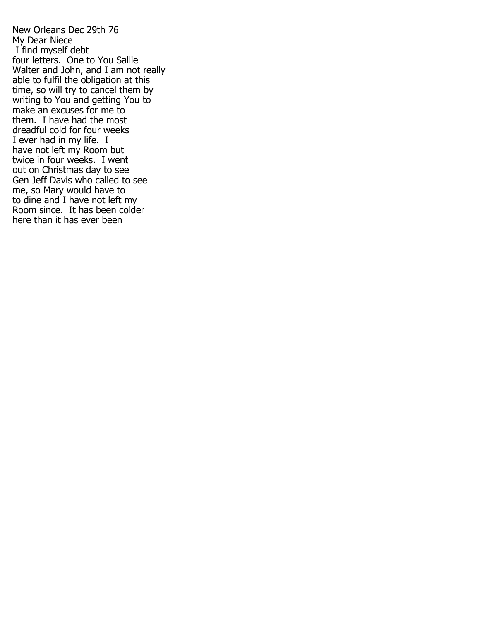New Orleans Dec 29th 76 My Dear Niece I find myself debt four letters. One to You Sallie Walter and John, and I am not really able to fulfil the obligation at this time, so will try to cancel them by writing to You and getting You to make an excuses for me to them. I have had the most dreadful cold for four weeks I ever had in my life. I have not left my Room but twice in four weeks. I went out on Christmas day to see Gen Jeff Davis who called to see me, so Mary would have to to dine and I have not left my Room since. It has been colder here than it has ever been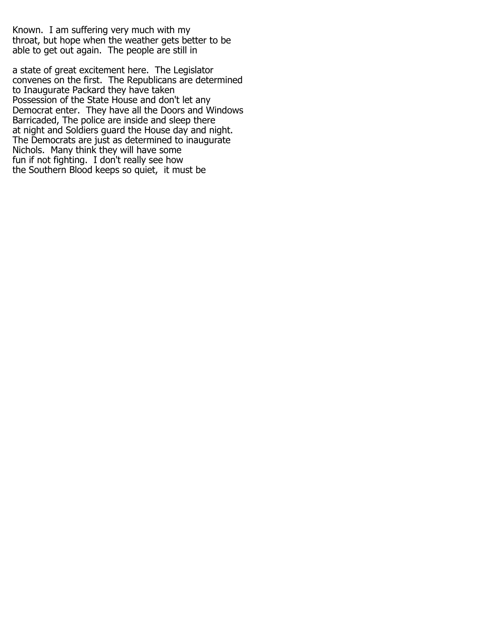Known. I am suffering very much with my throat, but hope when the weather gets better to be able to get out again. The people are still in

a state of great excitement here. The Legislator convenes on the first. The Republicans are determined to Inaugurate Packard they have taken Possession of the State House and don't let any Democrat enter. They have all the Doors and Windows Barricaded, The police are inside and sleep there at night and Soldiers guard the House day and night. The Democrats are just as determined to inaugurate Nichols. Many think they will have some fun if not fighting. I don't really see how the Southern Blood keeps so quiet, it must be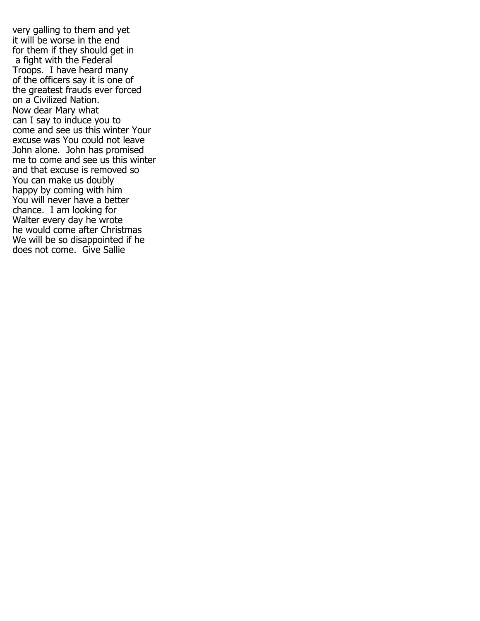very galling to them and yet it will be worse in the end for them if they should get in a fight with the Federal Troops. I have heard many of the officers say it is one of the greatest frauds ever forced on a Civilized Nation. Now dear Mary what can I say to induce you to come and see us this winter Your excuse was You could not leave John alone. John has promised me to come and see us this winter and that excuse is removed so You can make us doubly happy by coming with him You will never have a better chance. I am looking for Walter every day he wrote he would come after Christmas We will be so disappointed if he does not come. Give Sallie